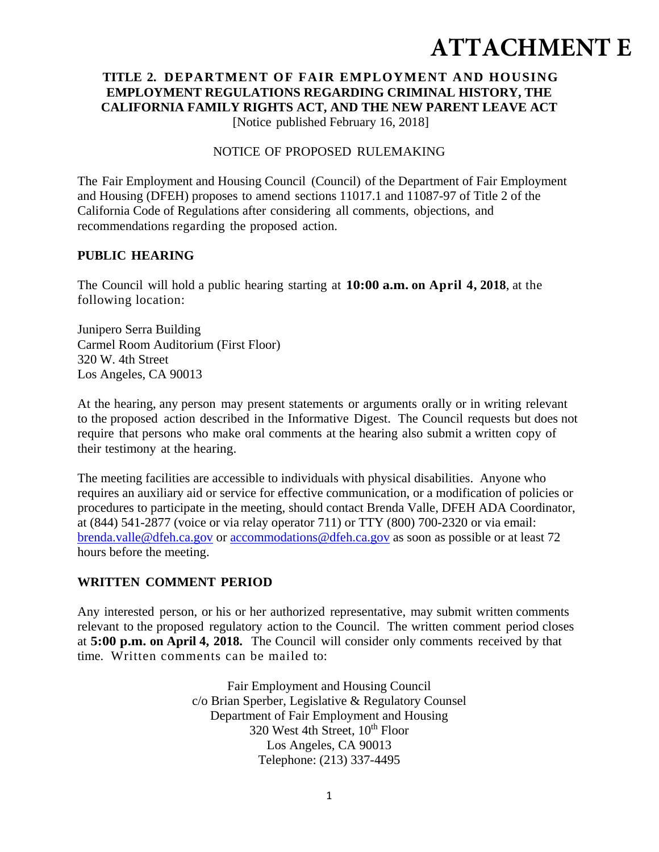# **ATTACHMENT E**

## **TITLE 2. DEPARTMENT OF FAIR EMPLOYMENT AND HOUSING EMPLOYMENT REGULATIONS REGARDING CRIMINAL HISTORY, THE CALIFORNIA FAMILY RIGHTS ACT, AND THE NEW PARENT LEAVE ACT**

[Notice published February 16, 2018]

#### NOTICE OF PROPOSED RULEMAKING

The Fair Employment and Housing Council (Council) of the Department of Fair Employment and Housing (DFEH) proposes to amend sections 11017.1 and 11087-97 of Title 2 of the California Code of Regulations after considering all comments, objections, and recommendations regarding the proposed action.

#### **PUBLIC HEARING**

The Council will hold a public hearing starting at **10:00 a.m. on April 4, 2018**, at the following location:

Junipero Serra Building Carmel Room Auditorium (First Floor) 320 W. 4th Street Los Angeles, CA 90013

At the hearing, any person may present statements or arguments orally or in writing relevant to the proposed action described in the Informative Digest. The Council requests but does not require that persons who make oral comments at the hearing also submit a written copy of their testimony at the hearing.

The meeting facilities are accessible to individuals with physical disabilities. Anyone who requires an auxiliary aid or service for effective communication, or a modification of policies or procedures to participate in the meeting, should contact Brenda Valle, DFEH ADA Coordinator, at (844) 541-2877 (voice or via relay operator 711) or TTY (800) 700-2320 or via email: brenda.valle@dfeh.ca.gov or accommodations@dfeh.ca.gov as soon as possible or at least 72 hours before the meeting.

## **WRITTEN COMMENT PERIOD**

Any interested person, or his or her authorized representative, may submit written comments relevant to the proposed regulatory action to the Council. The written comment period closes at **5:00 p.m. on April 4, 2018.** The Council will consider only comments received by that time. Written comments can be mailed to:

> Fair Employment and Housing Council c/o Brian Sperber, Legislative & Regulatory Counsel Department of Fair Employment and Housing 320 West 4th Street, 10<sup>th</sup> Floor Los Angeles, CA 90013 Telephone: (213) 337-4495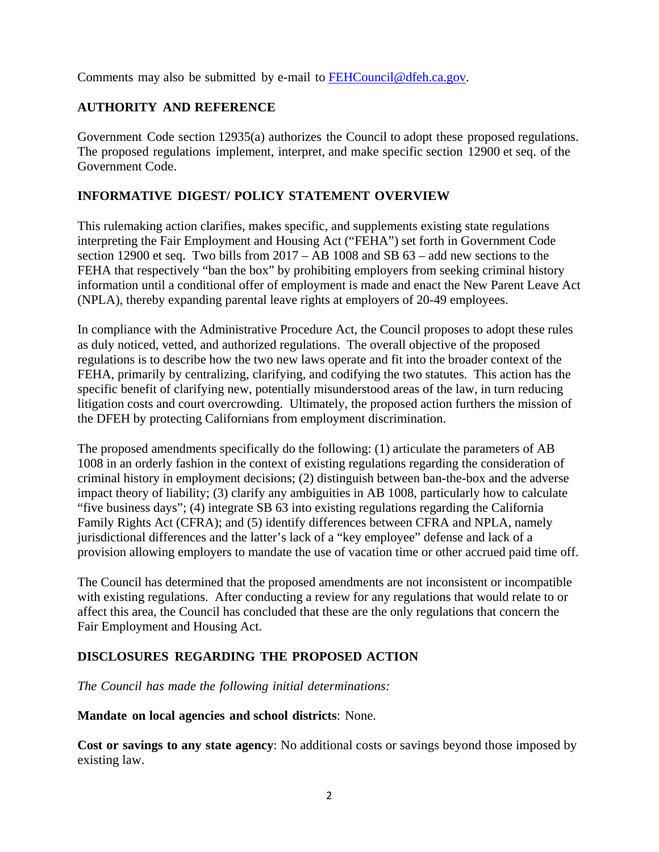Comments may also be submitted by e-mail to FEHCouncil@dfeh.ca.gov.

## **AUTHORITY AND REFERENCE**

Government Code section 12935(a) authorizes the Council to adopt these proposed regulations. The proposed regulations implement, interpret, and make specific section 12900 et seq. of the Government Code.

## **INFORMATIVE DIGEST/ POLICY STATEMENT OVERVIEW**

This rulemaking action clarifies, makes specific, and supplements existing state regulations interpreting the Fair Employment and Housing Act ("FEHA") set forth in Government Code section 12900 et seq. Two bills from 2017 – AB 1008 and SB 63 – add new sections to the FEHA that respectively "ban the box" by prohibiting employers from seeking criminal history information until a conditional offer of employment is made and enact the New Parent Leave Act (NPLA), thereby expanding parental leave rights at employers of 20-49 employees.

In compliance with the Administrative Procedure Act, the Council proposes to adopt these rules as duly noticed, vetted, and authorized regulations. The overall objective of the proposed regulations is to describe how the two new laws operate and fit into the broader context of the FEHA, primarily by centralizing, clarifying, and codifying the two statutes. This action has the specific benefit of clarifying new, potentially misunderstood areas of the law, in turn reducing litigation costs and court overcrowding. Ultimately, the proposed action furthers the mission of the DFEH by protecting Californians from employment discrimination.

The proposed amendments specifically do the following: (1) articulate the parameters of AB 1008 in an orderly fashion in the context of existing regulations regarding the consideration of criminal history in employment decisions; (2) distinguish between ban-the-box and the adverse impact theory of liability; (3) clarify any ambiguities in AB 1008, particularly how to calculate "five business days"; (4) integrate SB 63 into existing regulations regarding the California Family Rights Act (CFRA); and (5) identify differences between CFRA and NPLA, namely jurisdictional differences and the latter's lack of a "key employee" defense and lack of a provision allowing employers to mandate the use of vacation time or other accrued paid time off.

The Council has determined that the proposed amendments are not inconsistent or incompatible with existing regulations. After conducting a review for any regulations that would relate to or affect this area, the Council has concluded that these are the only regulations that concern the Fair Employment and Housing Act.

## **DISCLOSURES REGARDING THE PROPOSED ACTION**

*The Council has made the following initial determinations:* 

#### **Mandate on local agencies and school districts**: None.

**Cost or savings to any state agency**: No additional costs or savings beyond those imposed by existing law.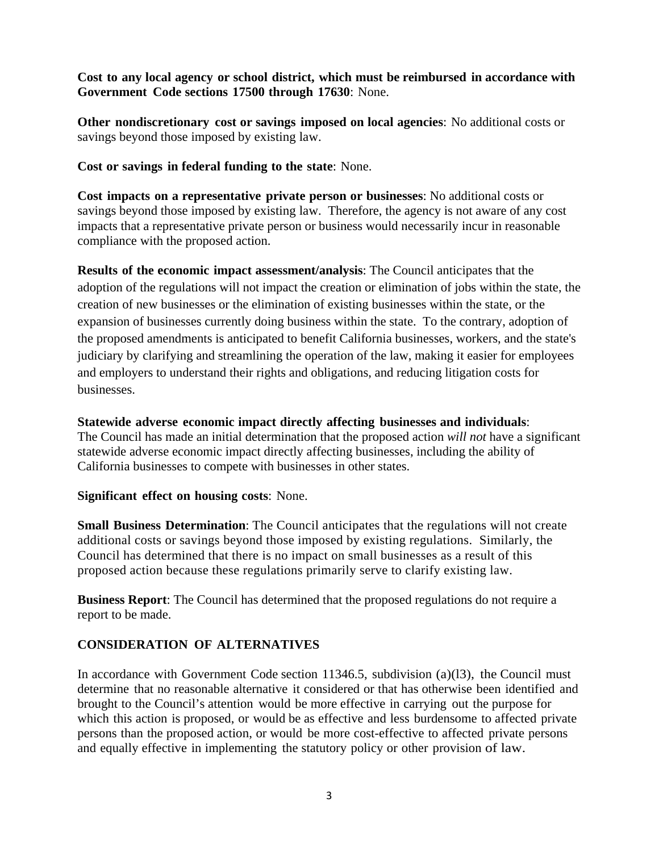**Cost to any local agency or school district, which must be reimbursed in accordance with Government Code sections 17500 through 17630**: None.

**Other nondiscretionary cost or savings imposed on local agencies**: No additional costs or savings beyond those imposed by existing law.

**Cost or savings in federal funding to the state**: None.

**Cost impacts on a representative private person or businesses**: No additional costs or savings beyond those imposed by existing law. Therefore, the agency is not aware of any cost impacts that a representative private person or business would necessarily incur in reasonable compliance with the proposed action.

**Results of the economic impact assessment/analysis**: The Council anticipates that the adoption of the regulations will not impact the creation or elimination of jobs within the state, the creation of new businesses or the elimination of existing businesses within the state, or the expansion of businesses currently doing business within the state. To the contrary, adoption of the proposed amendments is anticipated to benefit California businesses, workers, and the state's judiciary by clarifying and streamlining the operation of the law, making it easier for employees and employers to understand their rights and obligations, and reducing litigation costs for businesses.

**Statewide adverse economic impact directly affecting businesses and individuals**:

The Council has made an initial determination that the proposed action *will not* have a significant statewide adverse economic impact directly affecting businesses, including the ability of California businesses to compete with businesses in other states.

#### **Significant effect on housing costs**: None.

**Small Business Determination**: The Council anticipates that the regulations will not create additional costs or savings beyond those imposed by existing regulations. Similarly, the Council has determined that there is no impact on small businesses as a result of this proposed action because these regulations primarily serve to clarify existing law.

**Business Report**: The Council has determined that the proposed regulations do not require a report to be made.

## **CONSIDERATION OF ALTERNATIVES**

In accordance with Government Code section 11346.5, subdivision (a)(l3), the Council must determine that no reasonable alternative it considered or that has otherwise been identified and brought to the Council's attention would be more effective in carrying out the purpose for which this action is proposed, or would be as effective and less burdensome to affected private persons than the proposed action, or would be more cost-effective to affected private persons and equally effective in implementing the statutory policy or other provision of law.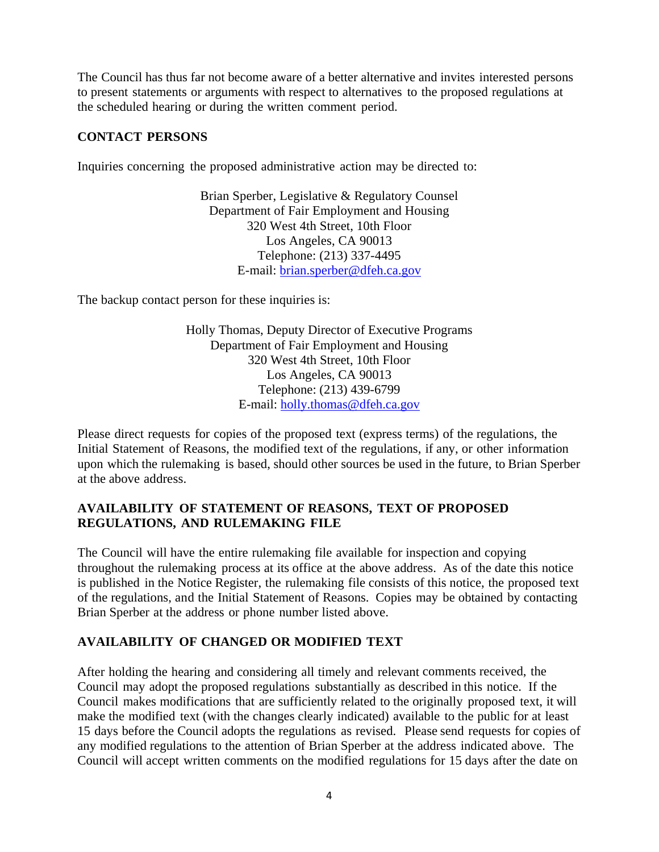The Council has thus far not become aware of a better alternative and invites interested persons to present statements or arguments with respect to alternatives to the proposed regulations at the scheduled hearing or during the written comment period.

## **CONTACT PERSONS**

Inquiries concerning the proposed administrative action may be directed to:

Brian Sperber, Legislative & Regulatory Counsel Department of Fair Employment and Housing 320 West 4th Street, 10th Floor Los Angeles, CA 90013 Telephone: (213) 337-4495 E-mail: brian.sperber@dfeh.ca.gov

The backup contact person for these inquiries is:

Holly Thomas, Deputy Director of Executive Programs Department of Fair Employment and Housing 320 West 4th Street, 10th Floor Los Angeles, CA 90013 Telephone: (213) 439-6799 E-mail: holly.thomas@dfeh.ca.gov

Please direct requests for copies of the proposed text (express terms) of the regulations, the Initial Statement of Reasons, the modified text of the regulations, if any, or other information upon which the rulemaking is based, should other sources be used in the future, to Brian Sperber at the above address.

## **AVAILABILITY OF STATEMENT OF REASONS, TEXT OF PROPOSED REGULATIONS, AND RULEMAKING FILE**

The Council will have the entire rulemaking file available for inspection and copying throughout the rulemaking process at its office at the above address. As of the date this notice is published in the Notice Register, the rulemaking file consists of this notice, the proposed text of the regulations, and the Initial Statement of Reasons. Copies may be obtained by contacting Brian Sperber at the address or phone number listed above.

## **AVAILABILITY OF CHANGED OR MODIFIED TEXT**

After holding the hearing and considering all timely and relevant comments received, the Council may adopt the proposed regulations substantially as described in this notice. If the Council makes modifications that are sufficiently related to the originally proposed text, it will make the modified text (with the changes clearly indicated) available to the public for at least 15 days before the Council adopts the regulations as revised. Please send requests for copies of any modified regulations to the attention of Brian Sperber at the address indicated above. The Council will accept written comments on the modified regulations for 15 days after the date on